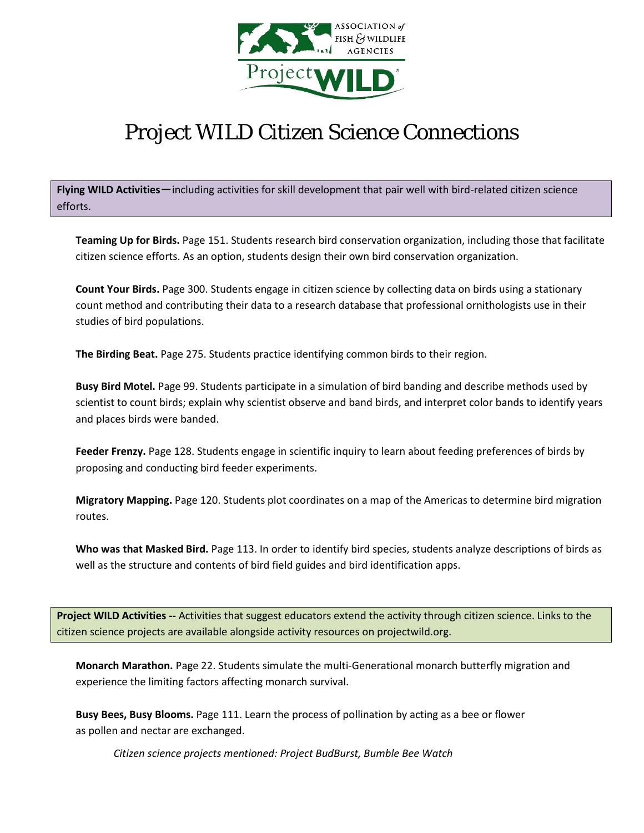

## Project WILD Citizen Science Connections

Flying WILD Activities - including activities for skill development that pair well with bird-related citizen science efforts.

**Teaming Up for Birds.** Page 151. Students research bird conservation organization, including those that facilitate citizen science efforts. As an option, students design their own bird conservation organization.

**Count Your Birds.** Page 300. Students engage in citizen science by collecting data on birds using a stationary count method and contributing their data to a research database that professional ornithologists use in their studies of bird populations.

**The Birding Beat.** Page 275. Students practice identifying common birds to their region.

**Busy Bird Motel.** Page 99. Students participate in a simulation of bird banding and describe methods used by scientist to count birds; explain why scientist observe and band birds, and interpret color bands to identify years and places birds were banded.

**Feeder Frenzy.** Page 128. Students engage in scientific inquiry to learn about feeding preferences of birds by proposing and conducting bird feeder experiments.

**Migratory Mapping.** Page 120. Students plot coordinates on a map of the Americas to determine bird migration routes.

**Who was that Masked Bird.** Page 113. In order to identify bird species, students analyze descriptions of birds as well as the structure and contents of bird field guides and bird identification apps.

**Project WILD Activities --** Activities that suggest educators extend the activity through citizen science. Links to the citizen science projects are available alongside activity resources on projectwild.org.

**Monarch Marathon.** Page 22. Students simulate the multi-Generational monarch butterfly migration and experience the limiting factors affecting monarch survival.

**Busy Bees, Busy Blooms.** Page 111. Learn the process of pollination by acting as a bee or flower as pollen and nectar are exchanged.

*Citizen science projects mentioned: Project BudBurst, Bumble Bee Watch*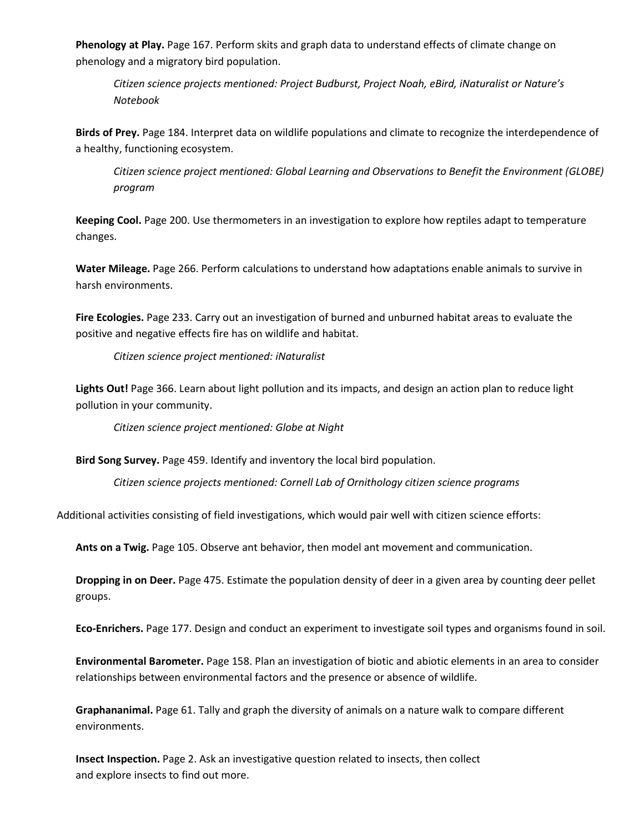**Phenology at Play.** Page 167. Perform skits and graph data to understand effects of climate change on phenology and a migratory bird population.

*Citizen science projects mentioned: Project Budburst, Project Noah, eBird, iNaturalist or Nature's Notebook*

**Birds of Prey.** Page 184. Interpret data on wildlife populations and climate to recognize the interdependence of a healthy, functioning ecosystem.

*Citizen science project mentioned: Global Learning and Observations to Benefit the Environment (GLOBE) program*

**Keeping Cool.** Page 200. Use thermometers in an investigation to explore how reptiles adapt to temperature changes.

**Water Mileage.** Page 266. Perform calculations to understand how adaptations enable animals to survive in harsh environments.

**Fire Ecologies.** Page 233. Carry out an investigation of burned and unburned habitat areas to evaluate the positive and negative effects fire has on wildlife and habitat.

*Citizen science project mentioned: iNaturalist*

**Lights Out!** Page 366. Learn about light pollution and its impacts, and design an action plan to reduce light pollution in your community.

*Citizen science project mentioned: Globe at Night*

**Bird Song Survey.** Page 459. Identify and inventory the local bird population.

*Citizen science projects mentioned: Cornell Lab of Ornithology citizen science programs*

Additional activities consisting of field investigations, which would pair well with citizen science efforts:

**Ants on a Twig.** Page 105. Observe ant behavior, then model ant movement and communication.

**Dropping in on Deer.** Page 475. Estimate the population density of deer in a given area by counting deer pellet groups.

**Eco-Enrichers.** Page 177. Design and conduct an experiment to investigate soil types and organisms found in soil.

**Environmental Barometer.** Page 158. Plan an investigation of biotic and abiotic elements in an area to consider relationships between environmental factors and the presence or absence of wildlife.

**Graphananimal.** Page 61. Tally and graph the diversity of animals on a nature walk to compare different environments.

**Insect Inspection.** Page 2. Ask an investigative question related to insects, then collect and explore insects to find out more.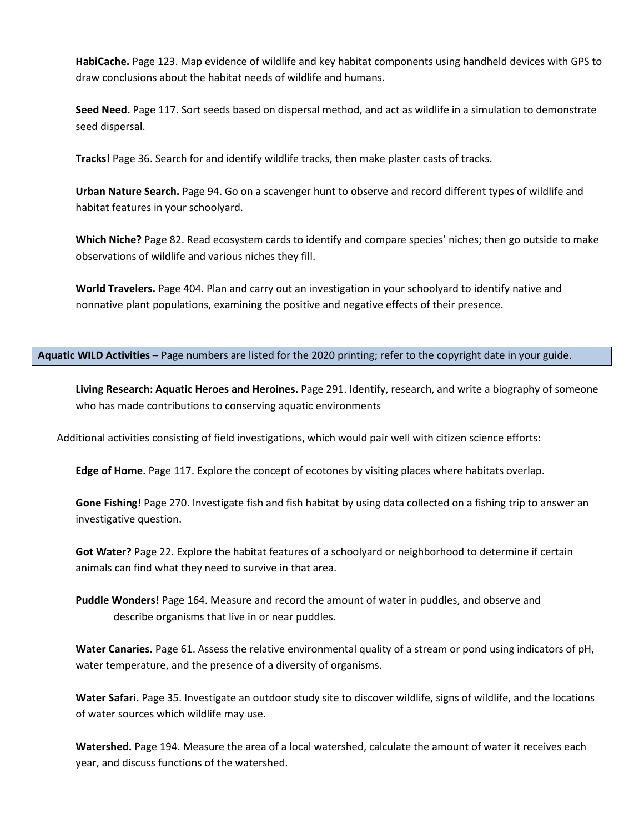**HabiCache.** Page 123. Map evidence of wildlife and key habitat components using handheld devices with GPS to draw conclusions about the habitat needs of wildlife and humans.

**Seed Need.** Page 117. Sort seeds based on dispersal method, and act as wildlife in a simulation to demonstrate seed dispersal.

**Tracks!** Page 36. Search for and identify wildlife tracks, then make plaster casts of tracks.

**Urban Nature Search.** Page 94. Go on a scavenger hunt to observe and record different types of wildlife and habitat features in your schoolyard.

**Which Niche?** Page 82. Read ecosystem cards to identify and compare species' niches; then go outside to make observations of wildlife and various niches they fill.

**World Travelers.** Page 404. Plan and carry out an investigation in your schoolyard to identify native and nonnative plant populations, examining the positive and negative effects of their presence.

**Aquatic WILD Activities –** Page numbers are listed for the 2020 printing; refer to the copyright date in your guide.

**Living Research: Aquatic Heroes and Heroines.** Page 291. Identify, research, and write a biography of someone who has made contributions to conserving aquatic environments

Additional activities consisting of field investigations, which would pair well with citizen science efforts:

**Edge of Home.** Page 117. Explore the concept of ecotones by visiting places where habitats overlap.

**Gone Fishing!** Page 270. Investigate fish and fish habitat by using data collected on a fishing trip to answer an investigative question.

**Got Water?** Page 22. Explore the habitat features of a schoolyard or neighborhood to determine if certain animals can find what they need to survive in that area.

**Puddle Wonders!** Page 164. Measure and record the amount of water in puddles, and observe and describe organisms that live in or near puddles.

**Water Canaries.** Page 61. Assess the relative environmental quality of a stream or pond using indicators of pH, water temperature, and the presence of a diversity of organisms.

**Water Safari.** Page 35. Investigate an outdoor study site to discover wildlife, signs of wildlife, and the locations of water sources which wildlife may use.

**Watershed.** Page 194. Measure the area of a local watershed, calculate the amount of water it receives each year, and discuss functions of the watershed.